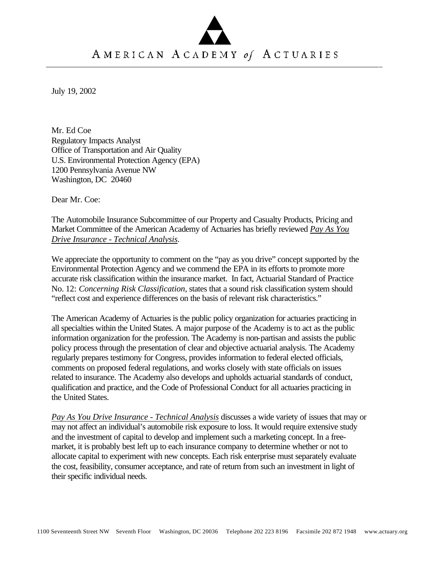## AMERICAN ACADEMY of ACTUARIES

July 19, 2002

Mr. Ed Coe Regulatory Impacts Analyst Office of Transportation and Air Quality U.S. Environmental Protection Agency (EPA) 1200 Pennsylvania Avenue NW Washington, DC 20460

Dear Mr. Coe:

The Automobile Insurance Subcommittee of our Property and Casualty Products, Pricing and Market Committee of the American Academy of Actuaries has briefly reviewed *Pay As You Drive Insurance - Technical Analysis*.

We appreciate the opportunity to comment on the "pay as you drive" concept supported by the Environmental Protection Agency and we commend the EPA in its efforts to promote more accurate risk classification within the insurance market. In fact, Actuarial Standard of Practice No. 12: *Concerning Risk Classification*, states that a sound risk classification system should "reflect cost and experience differences on the basis of relevant risk characteristics."

The American Academy of Actuaries is the public policy organization for actuaries practicing in all specialties within the United States. A major purpose of the Academy is to act as the public information organization for the profession. The Academy is non-partisan and assists the public policy process through the presentation of clear and objective actuarial analysis. The Academy regularly prepares testimony for Congress, provides information to federal elected officials, comments on proposed federal regulations, and works closely with state officials on issues related to insurance. The Academy also develops and upholds actuarial standards of conduct, qualification and practice, and the Code of Professional Conduct for all actuaries practicing in the United States.

*Pay As You Drive Insurance - Technical Analysis* discusses a wide variety of issues that may or may not affect an individual's automobile risk exposure to loss. It would require extensive study and the investment of capital to develop and implement such a marketing concept. In a freemarket, it is probably best left up to each insurance company to determine whether or not to allocate capital to experiment with new concepts. Each risk enterprise must separately evaluate the cost, feasibility, consumer acceptance, and rate of return from such an investment in light of their specific individual needs.